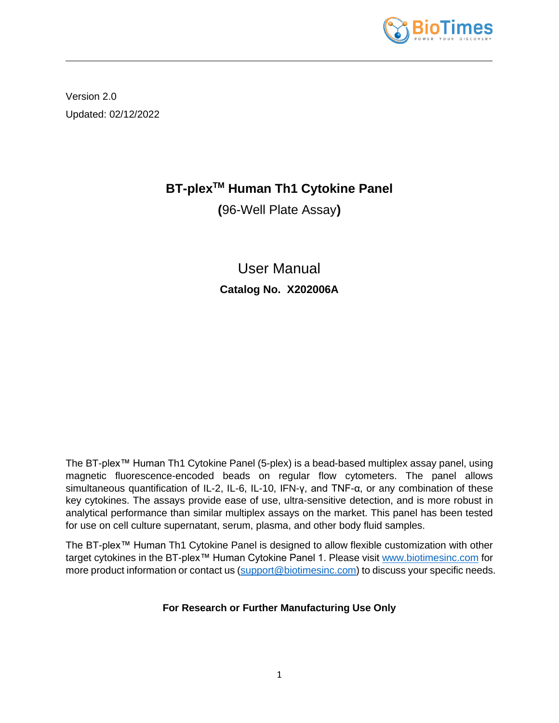

Version 2.0 Updated: 02/12/2022

# **BT-plexTM Human Th1 Cytokine Panel**

**(**96-Well Plate Assay**)**

User Manual **Catalog No. X202006A**

The BT-plex™ Human Th1 Cytokine Panel (5-plex) is a bead-based multiplex assay panel, using magnetic fluorescence-encoded beads on regular flow cytometers. The panel allows simultaneous quantification of IL-2, IL-6, IL-10, IFN-γ, and TNF-α, or any combination of these key cytokines. The assays provide ease of use, ultra-sensitive detection, and is more robust in analytical performance than similar multiplex assays on the market. This panel has been tested for use on cell culture supernatant, serum, plasma, and other body fluid samples.

The BT-plex™ Human Th1 Cytokine Panel is designed to allow flexible customization with other target cytokines in the BT-plex™ Human Cytokine Panel 1. Please visit [www.biotimesinc.com](http://www.biotimesinc.com/) for more product information or contact us [\(support@biotimesinc.com\)](mailto:support@biotimesinc.com) to discuss your specific needs.

**For Research or Further Manufacturing Use Only**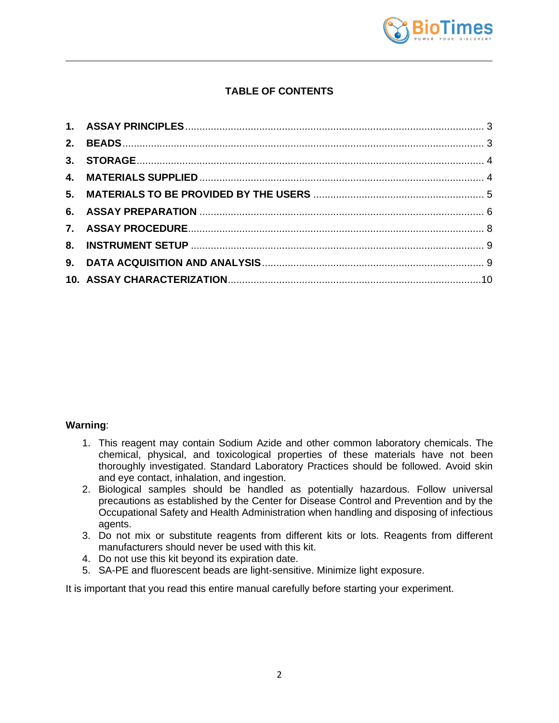

# **TABLE OF CONTENTS**

# **Warning**:

- 1. This reagent may contain Sodium Azide and other common laboratory chemicals. The chemical, physical, and toxicological properties of these materials have not been thoroughly investigated. Standard Laboratory Practices should be followed. Avoid skin and eye contact, inhalation, and ingestion.
- 2. Biological samples should be handled as potentially hazardous. Follow universal precautions as established by the Center for Disease Control and Prevention and by the Occupational Safety and Health Administration when handling and disposing of infectious agents.
- 3. Do not mix or substitute reagents from different kits or lots. Reagents from different manufacturers should never be used with this kit.
- 4. Do not use this kit beyond its expiration date.
- 5. SA-PE and fluorescent beads are light-sensitive. Minimize light exposure.

It is important that you read this entire manual carefully before starting your experiment.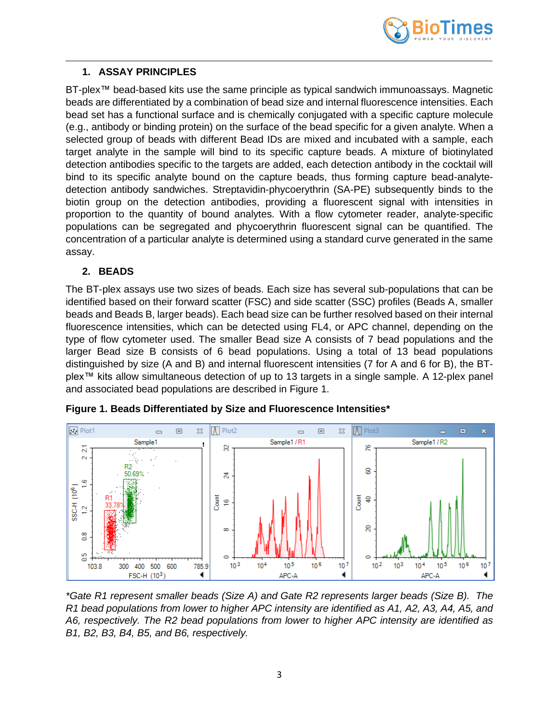

# <span id="page-2-0"></span>**1. ASSAY PRINCIPLES**

BT-plex™ bead-based kits use the same principle as typical sandwich immunoassays. Magnetic beads are differentiated by a combination of bead size and internal fluorescence intensities. Each bead set has a functional surface and is chemically conjugated with a specific capture molecule (e.g., antibody or binding protein) on the surface of the bead specific for a given analyte. When a selected group of beads with different Bead IDs are mixed and incubated with a sample, each target analyte in the sample will bind to its specific capture beads. A mixture of biotinylated detection antibodies specific to the targets are added, each detection antibody in the cocktail will bind to its specific analyte bound on the capture beads, thus forming capture bead-analytedetection antibody sandwiches. Streptavidin-phycoerythrin (SA-PE) subsequently binds to the biotin group on the detection antibodies, providing a fluorescent signal with intensities in proportion to the quantity of bound analytes. With a flow cytometer reader, analyte-specific populations can be segregated and phycoerythrin fluorescent signal can be quantified. The concentration of a particular analyte is determined using a standard curve generated in the same assay.

# <span id="page-2-1"></span>**2. BEADS**

The BT-plex assays use two sizes of beads. Each size has several sub-populations that can be identified based on their forward scatter (FSC) and side scatter (SSC) profiles (Beads A, smaller beads and Beads B, larger beads). Each bead size can be further resolved based on their internal fluorescence intensities, which can be detected using FL4, or APC channel, depending on the type of flow cytometer used. The smaller Bead size A consists of 7 bead populations and the larger Bead size B consists of 6 bead populations. Using a total of 13 bead populations distinguished by size (A and B) and internal fluorescent intensities (7 for A and 6 for B), the BTplex™ kits allow simultaneous detection of up to 13 targets in a single sample. A 12-plex panel and associated bead populations are described in Figure 1.



**Figure 1. Beads Differentiated by Size and Fluorescence Intensities\***

*\*Gate R1 represent smaller beads (Size A) and Gate R2 represents larger beads (Size B). The R1 bead populations from lower to higher APC intensity are identified as A1, A2, A3, A4, A5, and A6, respectively. The R2 bead populations from lower to higher APC intensity are identified as B1, B2, B3, B4, B5, and B6, respectively.*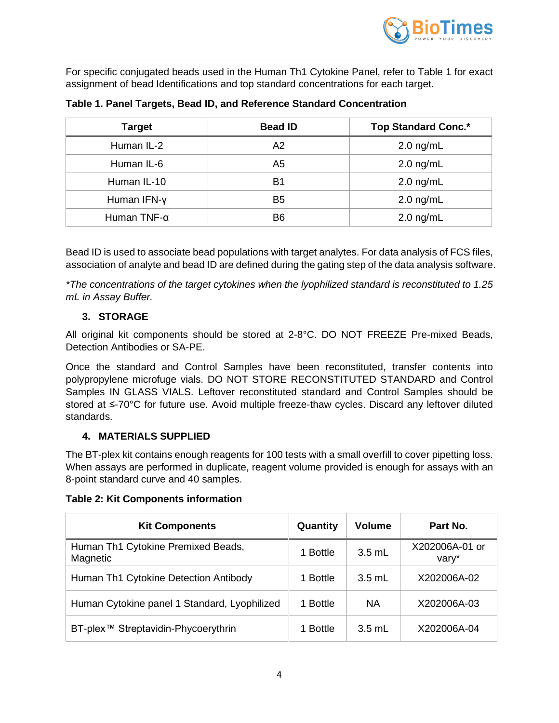

For specific conjugated beads used in the Human Th1 Cytokine Panel, refer to Table 1 for exact assignment of bead Identifications and top standard concentrations for each target.

| <b>Target</b>       | <b>Bead ID</b> | <b>Top Standard Conc.*</b> |
|---------------------|----------------|----------------------------|
| Human IL-2          | A2             | $2.0$ ng/mL                |
| Human IL-6          | A <sub>5</sub> | $2.0$ ng/mL                |
| Human IL-10         | B1             | $2.0$ ng/mL                |
| Human IFN-y         | B5             | $2.0$ ng/mL                |
| Human TNF- $\alpha$ | Β6             | $2.0$ ng/mL                |

**Table 1. Panel Targets, Bead ID, and Reference Standard Concentration**

Bead ID is used to associate bead populations with target analytes. For data analysis of FCS files, association of analyte and bead ID are defined during the gating step of the data analysis software.

*\*The concentrations of the target cytokines when the lyophilized standard is reconstituted to 1.25 mL in Assay Buffer.*

# **3. STORAGE**

<span id="page-3-0"></span>All original kit components should be stored at 2-8°C. DO NOT FREEZE Pre-mixed Beads, Detection Antibodies or SA-PE.

Once the standard and Control Samples have been reconstituted, transfer contents into polypropylene microfuge vials. DO NOT STORE RECONSTITUTED STANDARD and Control Samples IN GLASS VIALS. Leftover reconstituted standard and Control Samples should be stored at ≤-70°C for future use. Avoid multiple freeze-thaw cycles. Discard any leftover diluted standards.

# **4. MATERIALS SUPPLIED**

<span id="page-3-1"></span>The BT-plex kit contains enough reagents for 100 tests with a small overfill to cover pipetting loss. When assays are performed in duplicate, reagent volume provided is enough for assays with an 8-point standard curve and 40 samples.

#### **Table 2: Kit Components information**

| <b>Kit Components</b>                           | Quantity | <b>Volume</b> | Part No.                |
|-------------------------------------------------|----------|---------------|-------------------------|
| Human Th1 Cytokine Premixed Beads,<br>Magnetic  | 1 Bottle | $3.5$ mL      | X202006A-01 or<br>vary* |
| Human Th1 Cytokine Detection Antibody           | 1 Bottle | $3.5$ mL      | X202006A-02             |
| Human Cytokine panel 1 Standard, Lyophilized    | 1 Bottle | <b>NA</b>     | X202006A-03             |
| BT-plex <sup>™</sup> Streptavidin-Phycoerythrin | 1 Bottle | $3.5$ mL      | X202006A-04             |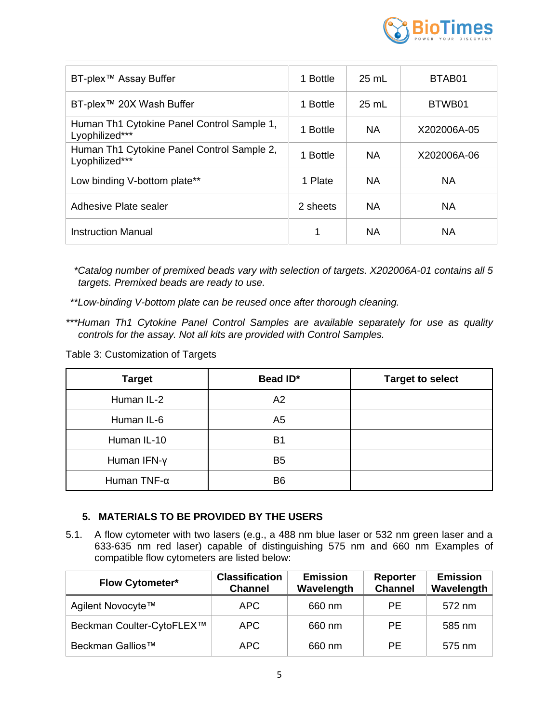

| BT-plex <sup>™</sup> Assay Buffer                            | 1 Bottle | $25 \text{ mL}$ | BTAB <sub>01</sub> |
|--------------------------------------------------------------|----------|-----------------|--------------------|
| BT-plex™ 20X Wash Buffer                                     | 1 Bottle | $25$ mL         | BTWB01             |
| Human Th1 Cytokine Panel Control Sample 1,<br>Lyophilized*** | 1 Bottle | <b>NA</b>       | X202006A-05        |
| Human Th1 Cytokine Panel Control Sample 2,<br>Lyophilized*** | 1 Bottle | <b>NA</b>       | X202006A-06        |
| Low binding V-bottom plate**                                 | 1 Plate  | <b>NA</b>       | NA.                |
| Adhesive Plate sealer                                        | 2 sheets | <b>NA</b>       | NA.                |
| Instruction Manual                                           | 1        | <b>NA</b>       | NA                 |

*\*Catalog number of premixed beads vary with selection of targets. X202006A-01 contains all 5 targets. Premixed beads are ready to use.*

*\*\*Low-binding V-bottom plate can be reused once after thorough cleaning.*

*\*\*\*Human Th1 Cytokine Panel Control Samples are available separately for use as quality controls for the assay. Not all kits are provided with Control Samples.* 

Table 3: Customization of Targets

| <b>Target</b>       | Bead ID*       | <b>Target to select</b> |
|---------------------|----------------|-------------------------|
| Human IL-2          | A2             |                         |
| Human IL-6          | A5             |                         |
| Human IL-10         | B1             |                         |
| Human IFN-y         | B <sub>5</sub> |                         |
| Human TNF- $\alpha$ | B <sub>6</sub> |                         |

# <span id="page-4-0"></span>**5. MATERIALS TO BE PROVIDED BY THE USERS**

5.1. A flow cytometer with two lasers (e.g., a 488 nm blue laser or 532 nm green laser and a 633-635 nm red laser) capable of distinguishing 575 nm and 660 nm Examples of compatible flow cytometers are listed below:

| <b>Flow Cytometer*</b>       | <b>Classification</b><br><b>Channel</b> | <b>Emission</b><br>Wavelength | Reporter<br><b>Channel</b> | <b>Emission</b><br>Wavelength |
|------------------------------|-----------------------------------------|-------------------------------|----------------------------|-------------------------------|
| Agilent Novocyte™            | APC                                     | 660 nm                        | <b>PE</b>                  | 572 nm                        |
| Beckman Coulter-CytoFLEX™    | APC.                                    | 660 nm                        | <b>PE</b>                  | 585 nm                        |
| Beckman Gallios <sup>™</sup> | APC                                     | 660 nm                        | <b>PF</b>                  | 575 nm                        |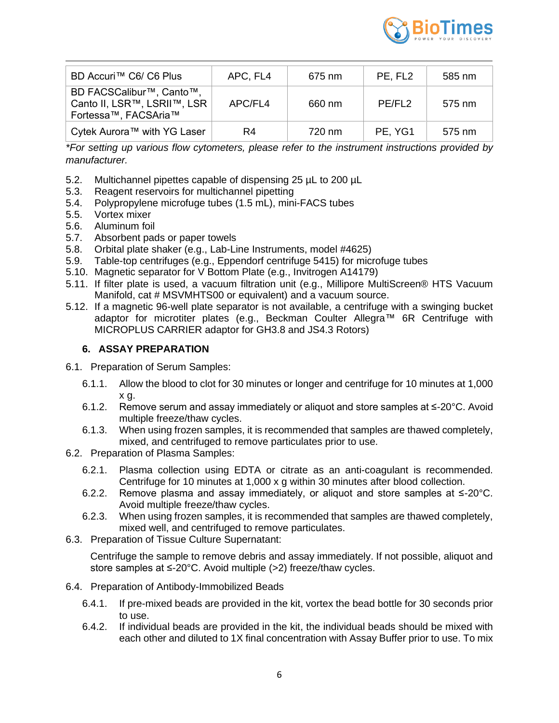

| BD Accuri™ C6/ C6 Plus                                                                       | APC, FL4 | 675 nm | PE, FL <sub>2</sub> | 585 nm |
|----------------------------------------------------------------------------------------------|----------|--------|---------------------|--------|
| BD FACSCalibur <sup>™</sup> , Canto™,<br>Canto II, LSR™, LSRII™, LSR<br>Fortessa™, FACSAria™ | APC/FL4  | 660 nm | PE/FL <sub>2</sub>  | 575 nm |
| Cytek Aurora™ with YG Laser                                                                  | R4       | 720 nm | PE, YG1             | 575 nm |

*\*For setting up various flow cytometers, please refer to the instrument instructions provided by manufacturer.*

- 5.2. Multichannel pipettes capable of dispensing 25 µL to 200 µL
- 5.3. Reagent reservoirs for multichannel pipetting
- 5.4. Polypropylene microfuge tubes (1.5 mL), mini-FACS tubes
- 5.5. Vortex mixer
- 5.6. Aluminum foil
- 5.7. Absorbent pads or paper towels
- 5.8. Orbital plate shaker (e.g., Lab-Line Instruments, model #4625)
- 5.9. Table-top centrifuges (e.g., Eppendorf centrifuge 5415) for microfuge tubes
- 5.10. Magnetic separator for V Bottom Plate (e.g., Invitrogen A14179)
- 5.11. If filter plate is used, a vacuum filtration unit (e.g., Millipore MultiScreen® HTS Vacuum Manifold, cat # MSVMHTS00 or equivalent) and a vacuum source.
- 5.12. If a magnetic 96-well plate separator is not available, a centrifuge with a swinging bucket adaptor for microtiter plates (e.g., Beckman Coulter Allegra™ 6R Centrifuge with MICROPLUS CARRIER adaptor for GH3.8 and JS4.3 Rotors)

# <span id="page-5-0"></span>**6. ASSAY PREPARATION**

- 6.1. Preparation of Serum Samples:
	- 6.1.1. Allow the blood to clot for 30 minutes or longer and centrifuge for 10 minutes at 1,000 x g.
	- 6.1.2. Remove serum and assay immediately or aliquot and store samples at ≤-20°C. Avoid multiple freeze/thaw cycles.
	- 6.1.3. When using frozen samples, it is recommended that samples are thawed completely, mixed, and centrifuged to remove particulates prior to use.
- 6.2. Preparation of Plasma Samples:
	- 6.2.1. Plasma collection using EDTA or citrate as an anti-coagulant is recommended. Centrifuge for 10 minutes at 1,000 x g within 30 minutes after blood collection.
	- 6.2.2. Remove plasma and assay immediately, or aliquot and store samples at ≤-20°C. Avoid multiple freeze/thaw cycles.
	- 6.2.3. When using frozen samples, it is recommended that samples are thawed completely, mixed well, and centrifuged to remove particulates.
- 6.3. Preparation of Tissue Culture Supernatant:

Centrifuge the sample to remove debris and assay immediately. If not possible, aliquot and store samples at ≤-20°C. Avoid multiple (>2) freeze/thaw cycles.

- 6.4. Preparation of Antibody-Immobilized Beads
	- 6.4.1. If pre-mixed beads are provided in the kit, vortex the bead bottle for 30 seconds prior to use.
	- 6.4.2. If individual beads are provided in the kit, the individual beads should be mixed with each other and diluted to 1X final concentration with Assay Buffer prior to use. To mix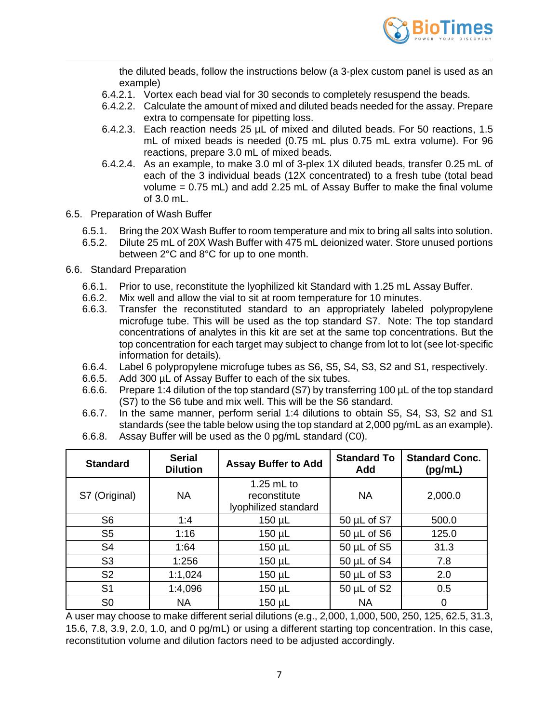

the diluted beads, follow the instructions below (a 3-plex custom panel is used as an example)

- 6.4.2.1. Vortex each bead vial for 30 seconds to completely resuspend the beads.
- 6.4.2.2. Calculate the amount of mixed and diluted beads needed for the assay. Prepare extra to compensate for pipetting loss.
- 6.4.2.3. Each reaction needs 25 µL of mixed and diluted beads. For 50 reactions, 1.5 mL of mixed beads is needed (0.75 mL plus 0.75 mL extra volume). For 96 reactions, prepare 3.0 mL of mixed beads.
- 6.4.2.4. As an example, to make 3.0 ml of 3-plex 1X diluted beads, transfer 0.25 mL of each of the 3 individual beads (12X concentrated) to a fresh tube (total bead volume = 0.75 mL) and add 2.25 mL of Assay Buffer to make the final volume of 3.0 mL.
- 6.5. Preparation of Wash Buffer
	- 6.5.1. Bring the 20X Wash Buffer to room temperature and mix to bring all salts into solution.
	- 6.5.2. Dilute 25 mL of 20X Wash Buffer with 475 mL deionized water. Store unused portions between 2°C and 8°C for up to one month.
- 6.6. Standard Preparation
	- 6.6.1. Prior to use, reconstitute the lyophilized kit Standard with 1.25 mL Assay Buffer.
	- 6.6.2. Mix well and allow the vial to sit at room temperature for 10 minutes.
	- 6.6.3. Transfer the reconstituted standard to an appropriately labeled polypropylene microfuge tube. This will be used as the top standard S7. Note: The top standard concentrations of analytes in this kit are set at the same top concentrations. But the top concentration for each target may subject to change from lot to lot (see lot-specific information for details).
	- 6.6.4. Label 6 polypropylene microfuge tubes as S6, S5, S4, S3, S2 and S1, respectively.
	- 6.6.5. Add 300 µL of Assay Buffer to each of the six tubes.
	- 6.6.6. Prepare 1:4 dilution of the top standard (S7) by transferring 100 µL of the top standard (S7) to the S6 tube and mix well. This will be the S6 standard.
	- 6.6.7. In the same manner, perform serial 1:4 dilutions to obtain S5, S4, S3, S2 and S1 standards (see the table below using the top standard at 2,000 pg/mL as an example).
	- 6.6.8. Assay Buffer will be used as the 0 pg/mL standard (C0).

| <b>Standard</b> | <b>Serial</b><br><b>Dilution</b>                                  | <b>Assay Buffer to Add</b> | <b>Standard To</b><br>Add | <b>Standard Conc.</b><br>(pg/mL) |
|-----------------|-------------------------------------------------------------------|----------------------------|---------------------------|----------------------------------|
| S7 (Original)   | $1.25$ mL to<br><b>NA</b><br>reconstitute<br>lyophilized standard |                            | <b>NA</b>                 | 2,000.0                          |
| S <sub>6</sub>  | 1:4                                                               | $150 \mu L$                | 50 µL of S7               | 500.0                            |
| S <sub>5</sub>  | 1:16                                                              | $150 \mu L$                | $50 \mu L$ of S6          | 125.0                            |
| S <sub>4</sub>  | 1:64                                                              | 150 µL                     | $50 \mu L$ of S5          | 31.3                             |
| S <sub>3</sub>  | 1:256                                                             | $150 \mu L$                | $50 \mu L$ of S4          | 7.8                              |
| S <sub>2</sub>  | 1:1,024                                                           | $150 \mu L$                | 50 $\mu$ L of S3          | 2.0                              |
| S <sub>1</sub>  | 1:4,096                                                           | $150 \mu L$                | $50 \mu L$ of S2          | 0.5                              |
| S <sub>0</sub>  | <b>NA</b>                                                         | 150 µL                     | <b>NA</b>                 |                                  |

A user may choose to make different serial dilutions (e.g., 2,000, 1,000, 500, 250, 125, 62.5, 31.3, 15.6, 7.8, 3.9, 2.0, 1.0, and 0 pg/mL) or using a different starting top concentration. In this case, reconstitution volume and dilution factors need to be adjusted accordingly.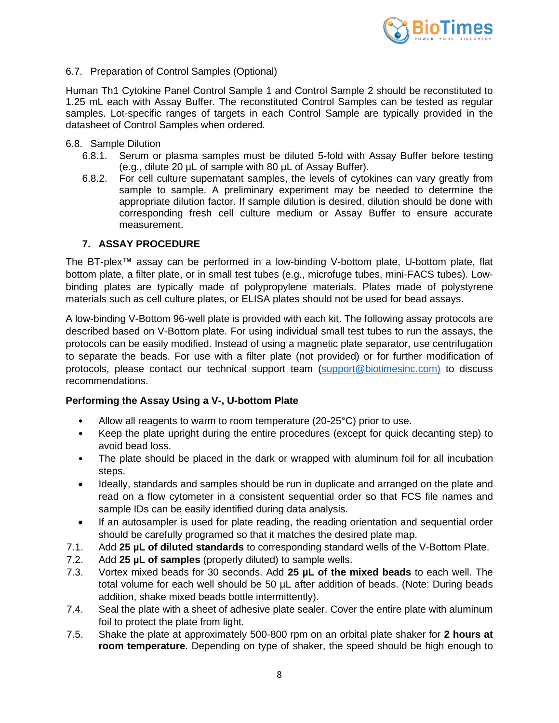

# 6.7. Preparation of Control Samples (Optional)

Human Th1 Cytokine Panel Control Sample 1 and Control Sample 2 should be reconstituted to 1.25 mL each with Assay Buffer. The reconstituted Control Samples can be tested as regular samples. Lot-specific ranges of targets in each Control Sample are typically provided in the datasheet of Control Samples when ordered.

#### 6.8. Sample Dilution

- 6.8.1. Serum or plasma samples must be diluted 5-fold with Assay Buffer before testing (e.g., dilute 20 µL of sample with 80 µL of Assay Buffer).
- 6.8.2. For cell culture supernatant samples, the levels of cytokines can vary greatly from sample to sample. A preliminary experiment may be needed to determine the appropriate dilution factor. If sample dilution is desired, dilution should be done with corresponding fresh cell culture medium or Assay Buffer to ensure accurate measurement.

# **7. ASSAY PROCEDURE**

<span id="page-7-0"></span>The BT-plex™ assay can be performed in a low-binding V-bottom plate, U-bottom plate, flat bottom plate, a filter plate, or in small test tubes (e.g., microfuge tubes, mini-FACS tubes). Lowbinding plates are typically made of polypropylene materials. Plates made of polystyrene materials such as cell culture plates, or ELISA plates should not be used for bead assays.

A low-binding V-Bottom 96-well plate is provided with each kit. The following assay protocols are described based on V-Bottom plate. For using individual small test tubes to run the assays, the protocols can be easily modified. Instead of using a magnetic plate separator, use centrifugation to separate the beads. For use with a filter plate (not provided) or for further modification of protocols, please contact our technical support team [\(support@biotimesinc.com\)](mailto:support@biotimesinc.com) to discuss recommendations.

# **Performing the Assay Using a V-, U-bottom Plate**

- Allow all reagents to warm to room temperature (20-25°C) prior to use.
- Keep the plate upright during the entire procedures (except for quick decanting step) to avoid bead loss.
- The plate should be placed in the dark or wrapped with aluminum foil for all incubation steps.
- Ideally, standards and samples should be run in duplicate and arranged on the plate and read on a flow cytometer in a consistent sequential order so that FCS file names and sample IDs can be easily identified during data analysis.
- If an autosampler is used for plate reading, the reading orientation and sequential order should be carefully programed so that it matches the desired plate map.
- 7.1. Add **25 µL of diluted standards** to corresponding standard wells of the V-Bottom Plate.
- 7.2. Add **25 µL of samples** (properly diluted) to sample wells.
- 7.3. Vortex mixed beads for 30 seconds. Add **25 µL of the mixed beads** to each well. The total volume for each well should be 50 µL after addition of beads. (Note: During beads addition, shake mixed beads bottle intermittently).
- 7.4. Seal the plate with a sheet of adhesive plate sealer. Cover the entire plate with aluminum foil to protect the plate from light.
- 7.5. Shake the plate at approximately 500-800 rpm on an orbital plate shaker for **2 hours at room temperature**. Depending on type of shaker, the speed should be high enough to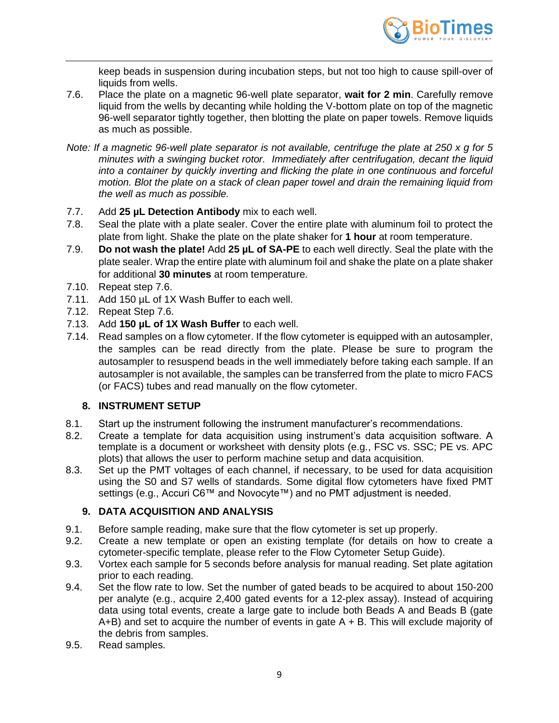

keep beads in suspension during incubation steps, but not too high to cause spill-over of liquids from wells.

- 7.6. Place the plate on a magnetic 96-well plate separator, **wait for 2 min**. Carefully remove liquid from the wells by decanting while holding the V-bottom plate on top of the magnetic 96-well separator tightly together, then blotting the plate on paper towels. Remove liquids as much as possible.
- *Note: If a magnetic 96-well plate separator is not available, centrifuge the plate at 250 x g for 5 minutes with a swinging bucket rotor. Immediately after centrifugation, decant the liquid into a container by quickly inverting and flicking the plate in one continuous and forceful motion. Blot the plate on a stack of clean paper towel and drain the remaining liquid from the well as much as possible.*
- 7.7. Add **25 µL Detection Antibody** mix to each well.
- 7.8. Seal the plate with a plate sealer. Cover the entire plate with aluminum foil to protect the plate from light. Shake the plate on the plate shaker for **1 hour** at room temperature.
- 7.9. **Do not wash the plate!** Add **25 µL of SA-PE** to each well directly. Seal the plate with the plate sealer. Wrap the entire plate with aluminum foil and shake the plate on a plate shaker for additional **30 minutes** at room temperature.
- 7.10. Repeat step 7.6.
- 7.11. Add 150 µL of 1X Wash Buffer to each well.
- 7.12. Repeat Step 7.6.
- 7.13. Add **150 µL of 1X Wash Buffer** to each well.
- 7.14. Read samples on a flow cytometer. If the flow cytometer is equipped with an autosampler, the samples can be read directly from the plate. Please be sure to program the autosampler to resuspend beads in the well immediately before taking each sample. If an autosampler is not available, the samples can be transferred from the plate to micro FACS (or FACS) tubes and read manually on the flow cytometer.

# **8. INSTRUMENT SETUP**

- <span id="page-8-0"></span>8.1. Start up the instrument following the instrument manufacturer's recommendations.
- 8.2. Create a template for data acquisition using instrument's data acquisition software. A template is a document or worksheet with density plots (e.g., FSC vs. SSC; PE vs. APC plots) that allows the user to perform machine setup and data acquisition.
- 8.3. Set up the PMT voltages of each channel, if necessary, to be used for data acquisition using the S0 and S7 wells of standards. Some digital flow cytometers have fixed PMT settings (e.g., Accuri C6™ and Novocyte™) and no PMT adjustment is needed.

# <span id="page-8-1"></span>**9. DATA ACQUISITION AND ANALYSIS**

- 9.1. Before sample reading, make sure that the flow cytometer is set up properly.
- 9.2. Create a new template or open an existing template (for details on how to create a cytometer-specific template, please refer to the Flow Cytometer Setup Guide).
- 9.3. Vortex each sample for 5 seconds before analysis for manual reading. Set plate agitation prior to each reading.
- 9.4. Set the flow rate to low. Set the number of gated beads to be acquired to about 150-200 per analyte (e.g., acquire 2,400 gated events for a 12-plex assay). Instead of acquiring data using total events, create a large gate to include both Beads A and Beads B (gate  $A+B$ ) and set to acquire the number of events in gate  $A + B$ . This will exclude majority of the debris from samples.
- 9.5. Read samples.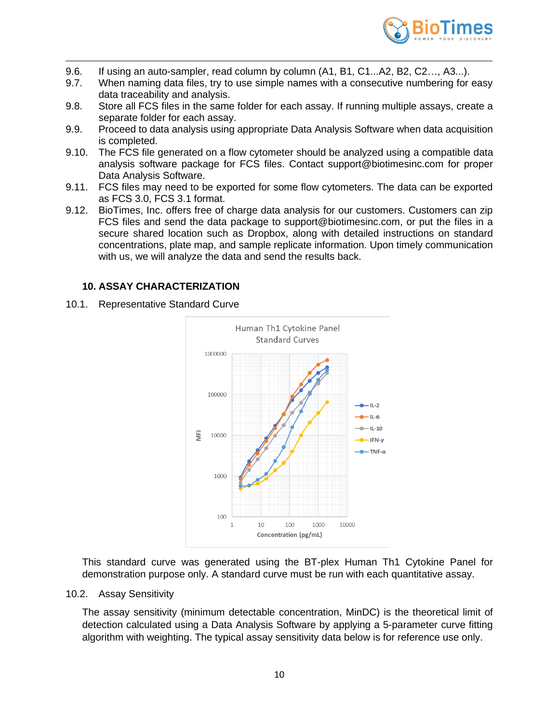

- 9.6. If using an auto-sampler, read column by column (A1, B1, C1...A2, B2, C2…, A3...).
- 9.7. When naming data files, try to use simple names with a consecutive numbering for easy data traceability and analysis.
- 9.8. Store all FCS files in the same folder for each assay. If running multiple assays, create a separate folder for each assay.
- 9.9. Proceed to data analysis using appropriate Data Analysis Software when data acquisition is completed.
- 9.10. The FCS file generated on a flow cytometer should be analyzed using a compatible data analysis software package for FCS files. Contact support@biotimesinc.com for proper Data Analysis Software.
- 9.11. FCS files may need to be exported for some flow cytometers. The data can be exported as FCS 3.0, FCS 3.1 format.
- 9.12. BioTimes, Inc. offers free of charge data analysis for our customers. Customers can zip FCS files and send the data package to support@biotimesinc.com, or put the files in a secure shared location such as Dropbox, along with detailed instructions on standard concentrations, plate map, and sample replicate information. Upon timely communication with us, we will analyze the data and send the results back.

# <span id="page-9-0"></span>**10. ASSAY CHARACTERIZATION**

10.1. Representative Standard Curve



This standard curve was generated using the BT-plex Human Th1 Cytokine Panel for demonstration purpose only. A standard curve must be run with each quantitative assay.

10.2. Assay Sensitivity

The assay sensitivity (minimum detectable concentration, MinDC) is the theoretical limit of detection calculated using a Data Analysis Software by applying a 5-parameter curve fitting algorithm with weighting. The typical assay sensitivity data below is for reference use only.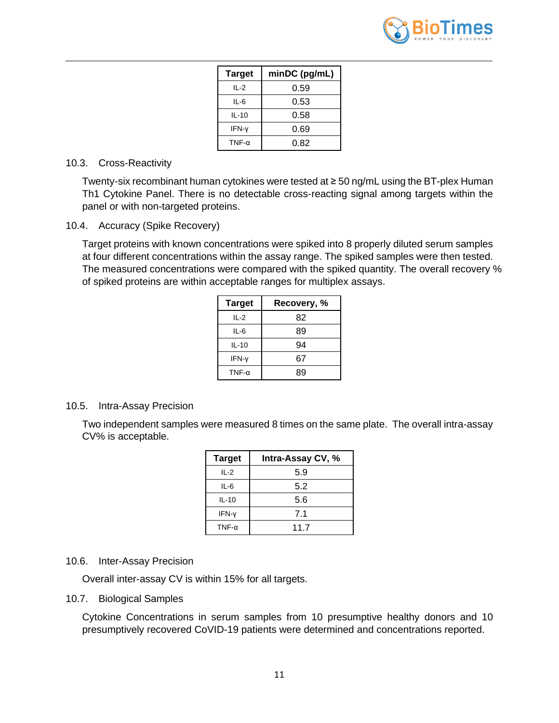

| <b>Target</b> | minDC (pg/mL) |
|---------------|---------------|
| II -2         | 0.59          |
| $IL-6$        | 0.53          |
| $IL-10$       | 0.58          |
| IFN-y         | 0.69          |
| TNF- $\alpha$ | 0.82          |

#### 10.3. Cross-Reactivity

Twenty-six recombinant human cytokines were tested at ≥ 50 ng/mL using the BT-plex Human Th1 Cytokine Panel. There is no detectable cross-reacting signal among targets within the panel or with non-targeted proteins.

10.4. Accuracy (Spike Recovery)

Target proteins with known concentrations were spiked into 8 properly diluted serum samples at four different concentrations within the assay range. The spiked samples were then tested. The measured concentrations were compared with the spiked quantity. The overall recovery % of spiked proteins are within acceptable ranges for multiplex assays.

| <b>Target</b> | Recovery, % |
|---------------|-------------|
| $IL-2$        | 82          |
| IL-6          | 89          |
| $IL-10$       | 94          |
| IFN-y         | 67          |
| TNF- $\alpha$ | 89          |

# 10.5. Intra-Assay Precision

Two independent samples were measured 8 times on the same plate. The overall intra-assay CV% is acceptable.

| <b>Target</b> | Intra-Assay CV, % |
|---------------|-------------------|
| $IL-2$        | 5.9               |
| $IL-6$        | 5.2               |
| $IL-10$       | 5.6               |
| IFN-y         | 7.1               |
| $TNF-\alpha$  | 117               |

#### 10.6. Inter-Assay Precision

Overall inter-assay CV is within 15% for all targets.

#### 10.7. Biological Samples

Cytokine Concentrations in serum samples from 10 presumptive healthy donors and 10 presumptively recovered CoVID-19 patients were determined and concentrations reported.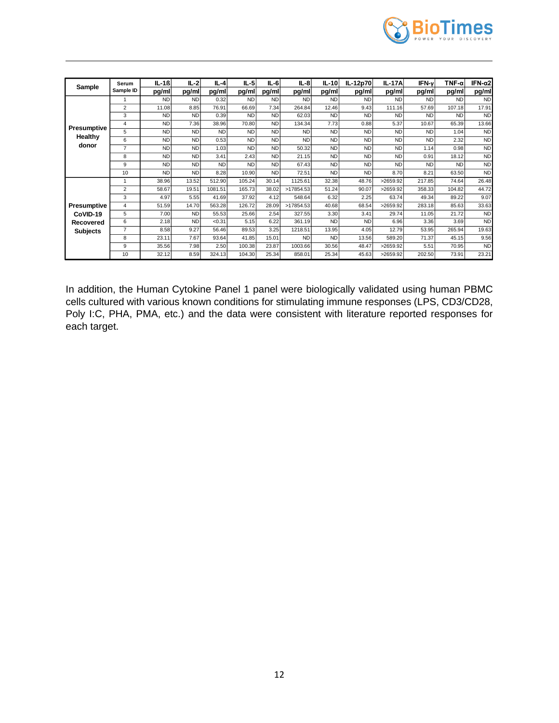

| Sample             | Serum          | $IL-1B$   | $IL-2$    | $IL-4$    | $IL-5$    | $IL-6$    | $IL-8$    | IL-10     | IL-12p70  | <b>IL-17A</b> | IFN-γ     | TNF-αl    | IFN- $\alpha$ 2 |
|--------------------|----------------|-----------|-----------|-----------|-----------|-----------|-----------|-----------|-----------|---------------|-----------|-----------|-----------------|
|                    | Sample ID      | pg/ml     | pg/ml     | pg/ml     | pg/ml     | pg/ml     | pg/ml     | pg/ml     | pg/ml     | pg/ml         | pg/ml     | pg/ml     | pg/ml           |
|                    |                | <b>ND</b> | <b>ND</b> | 0.32      | <b>ND</b> | <b>ND</b> | <b>ND</b> | <b>ND</b> | <b>ND</b> | <b>ND</b>     | <b>ND</b> | <b>ND</b> | <b>ND</b>       |
|                    | $\overline{2}$ | 11.08     | 8.85      | 76.91     | 66.69     | 7.34      | 264.84    | 12.46     | 9.43      | 111.16        | 57.69     | 107.18    | 17.91           |
|                    | 3              | <b>ND</b> | <b>ND</b> | 0.39      | <b>ND</b> | <b>ND</b> | 62.03     | <b>ND</b> | <b>ND</b> | <b>ND</b>     | <b>ND</b> | <b>ND</b> | <b>ND</b>       |
|                    | $\overline{4}$ | <b>ND</b> | 7.36      | 38.96     | 70.80     | <b>ND</b> | 134.34    | 7.73      | 0.88      | 5.37          | 10.67     | 65.39     | 13.66           |
| Presumptive        | 5              | <b>ND</b> | <b>ND</b> | <b>ND</b> | <b>ND</b> | <b>ND</b> | <b>ND</b> | <b>ND</b> | <b>ND</b> | <b>ND</b>     | <b>ND</b> | 1.04      | <b>ND</b>       |
| Healthy            | 6              | <b>ND</b> | <b>ND</b> | 0.53      | <b>ND</b> | <b>ND</b> | <b>ND</b> | <b>ND</b> | <b>ND</b> | <b>ND</b>     | <b>ND</b> | 2.32      | <b>ND</b>       |
| donor              | $\overline{7}$ | <b>ND</b> | <b>ND</b> | 1.03      | <b>ND</b> | <b>ND</b> | 50.32     | <b>ND</b> | <b>ND</b> | <b>ND</b>     | 1.14      | 0.98      | <b>ND</b>       |
|                    | 8              | <b>ND</b> | <b>ND</b> | 3.41      | 2.43      | <b>ND</b> | 21.15     | <b>ND</b> | <b>ND</b> | <b>ND</b>     | 0.91      | 18.12     | <b>ND</b>       |
|                    | 9              | <b>ND</b> | <b>ND</b> | <b>ND</b> | <b>ND</b> | <b>ND</b> | 67.43     | <b>ND</b> | <b>ND</b> | <b>ND</b>     | <b>ND</b> | <b>ND</b> | <b>ND</b>       |
|                    | 10             | <b>ND</b> | <b>ND</b> | 8.28      | 10.90     | <b>ND</b> | 72.51     | <b>ND</b> | <b>ND</b> | 8.70          | 8.21      | 63.50     | <b>ND</b>       |
|                    | 1              | 38.96     | 13.52     | 512.90    | 105.24    | 30.14     | 1125.61   | 32.38     | 48.76     | >2659.92      | 217.85    | 74.64     | 26.48           |
|                    | $\overline{2}$ | 58.67     | 19.51     | 1081.51   | 165.73    | 38.02     | >17854.53 | 51.24     | 90.07     | >2659.92      | 358.33    | 104.82    | 44.72           |
|                    | 3              | 4.97      | 5.55      | 41.69     | 37.92     | 4.12      | 548.64    | 6.32      | 2.25      | 63.74         | 49.34     | 89.22     | 9.07            |
| <b>Presumptive</b> | $\overline{4}$ | 51.59     | 14.70     | 563.28    | 126.72    | 28.09     | >17854.53 | 40.68     | 68.54     | >2659.92      | 283.18    | 85.63     | 33.63           |
| CoVID-19           | 5              | 7.00      | <b>ND</b> | 55.53     | 25.66     | 2.54      | 327.55    | 3.30      | 3.41      | 29.74         | 11.05     | 21.72     | <b>ND</b>       |
| Recovered          | 6              | 2.18      | <b>ND</b> | < 0.31    | 5.15      | 6.22      | 361.19    | <b>ND</b> | <b>ND</b> | 6.96          | 3.36      | 3.69      | <b>ND</b>       |
| <b>Subjects</b>    | $\overline{7}$ | 8.58      | 9.27      | 56.46     | 89.53     | 3.25      | 1218.51   | 13.95     | 4.05      | 12.79         | 53.95     | 265.94    | 19.63           |
|                    | 8              | 23.11     | 7.67      | 93.64     | 41.85     | 15.01     | <b>ND</b> | <b>ND</b> | 13.56     | 589.20        | 71.37     | 45.15     | 9.56            |
|                    | 9              | 35.56     | 7.98      | 2.50      | 100.38    | 23.87     | 1003.66   | 30.56     | 48.47     | >2659.92      | 5.51      | 70.95     | <b>ND</b>       |
|                    | 10             | 32.12     | 8.59      | 324.13    | 104.30    | 25.34     | 858.01    | 25.34     | 45.63     | >2659.92      | 202.50    | 73.91     | 23.21           |

In addition, the Human Cytokine Panel 1 panel were biologically validated using human PBMC cells cultured with various known conditions for stimulating immune responses (LPS, CD3/CD28, Poly I:C, PHA, PMA, etc.) and the data were consistent with literature reported responses for each target.